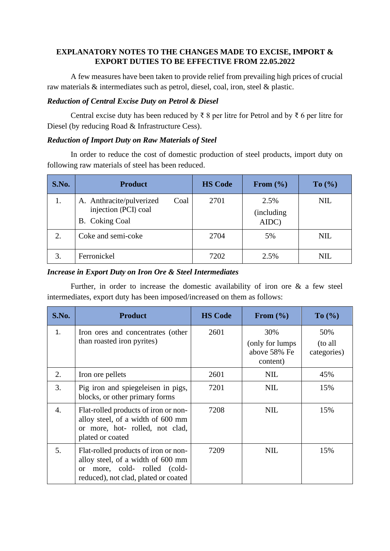# **EXPLANATORY NOTES TO THE CHANGES MADE TO EXCISE, IMPORT & EXPORT DUTIES TO BE EFFECTIVE FROM 22.05.2022**

A few measures have been taken to provide relief from prevailing high prices of crucial raw materials & intermediates such as petrol, diesel, coal, iron, steel & plastic.

#### *Reduction of Central Excise Duty on Petrol & Diesel*

Central excise duty has been reduced by ₹ 8 per litre for Petrol and by ₹ 6 per litre for Diesel (by reducing Road & Infrastructure Cess).

#### *Reduction of Import Duty on Raw Materials of Steel*

In order to reduce the cost of domestic production of steel products, import duty on following raw materials of steel has been reduced.

| S.No. | <b>Product</b>                                                                    | <b>HS Code</b> | From $(\% )$                | To $(\% )$ |
|-------|-----------------------------------------------------------------------------------|----------------|-----------------------------|------------|
| 1.    | A. Anthracite/pulverized<br>Coal<br>injection (PCI) coal<br><b>B.</b> Coking Coal | 2701           | 2.5%<br>(including<br>AIDC) | <b>NIL</b> |
| 2.    | Coke and semi-coke                                                                | 2704           | 5%                          | <b>NIL</b> |
| 3.    | Ferronickel                                                                       | 7202           | 2.5%                        | NIL        |

### *Increase in Export Duty on Iron Ore & Steel Intermediates*

Further, in order to increase the domestic availability of iron ore & a few steel intermediates, export duty has been imposed/increased on them as follows:

| S.No.            | <b>Product</b>                                                                                                                                                  | <b>HS Code</b> | From $(\% )$                                        | To (%)                        |
|------------------|-----------------------------------------------------------------------------------------------------------------------------------------------------------------|----------------|-----------------------------------------------------|-------------------------------|
| 1.               | Iron ores and concentrates (other<br>than roasted iron pyrites)                                                                                                 | 2601           | 30%<br>(only for lumps)<br>above 58% Fe<br>content) | 50%<br>(to all<br>categories) |
| 2.               | Iron ore pellets                                                                                                                                                | 2601           | <b>NIL</b>                                          | 45%                           |
| 3.               | Pig iron and spiegeleisen in pigs,<br>blocks, or other primary forms                                                                                            | 7201           | <b>NIL</b>                                          | 15%                           |
| $\overline{4}$ . | Flat-rolled products of iron or non-<br>alloy steel, of a width of 600 mm<br>or more, hot- rolled, not clad,<br>plated or coated                                | 7208           | <b>NIL</b>                                          | 15%                           |
| 5.               | Flat-rolled products of iron or non-<br>alloy steel, of a width of 600 mm<br>more, cold- rolled (cold-<br><sub>or</sub><br>reduced), not clad, plated or coated | 7209           | <b>NIL</b>                                          | 15%                           |